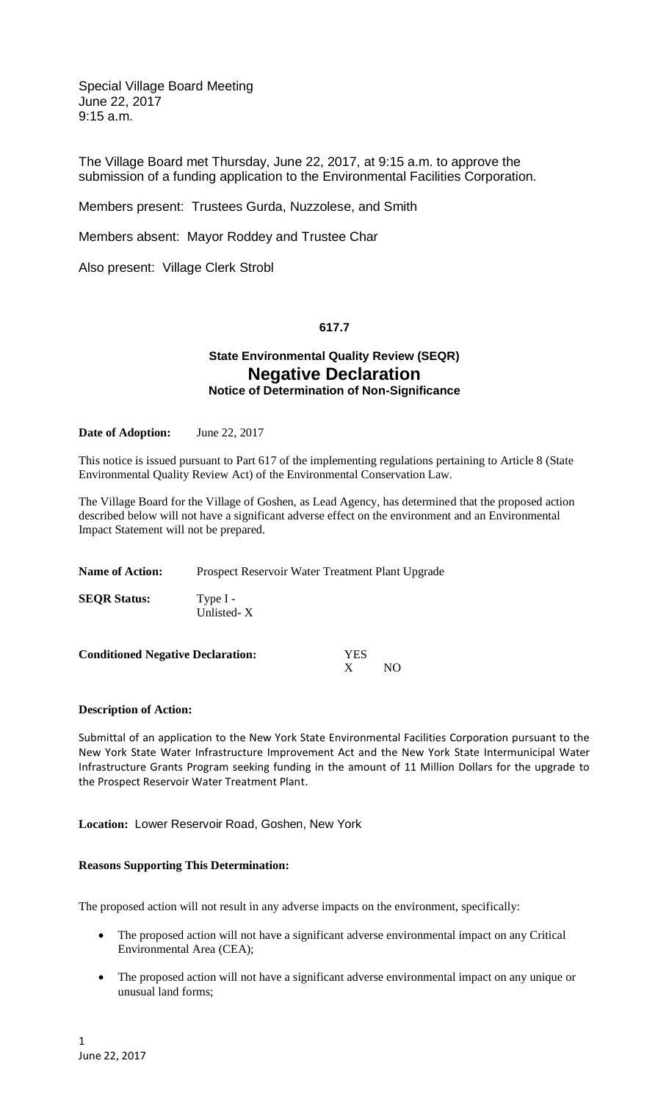Special Village Board Meeting June 22, 2017 9:15 a.m.

The Village Board met Thursday, June 22, 2017, at 9:15 a.m. to approve the submission of a funding application to the Environmental Facilities Corporation.

Members present: Trustees Gurda, Nuzzolese, and Smith

Members absent: Mayor Roddey and Trustee Char

Also present: Village Clerk Strobl

## **617.7**

# **State Environmental Quality Review (SEQR) Negative Declaration Notice of Determination of Non-Significance**

**Date of Adoption:** June 22, 2017

This notice is issued pursuant to Part 617 of the implementing regulations pertaining to Article 8 (State Environmental Quality Review Act) of the Environmental Conservation Law.

The Village Board for the Village of Goshen, as Lead Agency, has determined that the proposed action described below will not have a significant adverse effect on the environment and an Environmental Impact Statement will not be prepared.

| <b>Name of Action:</b> | Prospect Reservoir Water Treatment Plant Upgrade |
|------------------------|--------------------------------------------------|
| <b>SEQR Status:</b>    | Type $I -$<br>Unlisted- $X$                      |
|                        |                                                  |

| <b>Conditioned Negative Declaration:</b> | YES |     |
|------------------------------------------|-----|-----|
|                                          |     | NO. |

### **Description of Action:**

Submittal of an application to the New York State Environmental Facilities Corporation pursuant to the New York State Water Infrastructure Improvement Act and the New York State Intermunicipal Water Infrastructure Grants Program seeking funding in the amount of 11 Million Dollars for the upgrade to the Prospect Reservoir Water Treatment Plant.

**Location:** Lower Reservoir Road, Goshen, New York

### **Reasons Supporting This Determination:**

The proposed action will not result in any adverse impacts on the environment, specifically:

- The proposed action will not have a significant adverse environmental impact on any Critical Environmental Area (CEA);
- The proposed action will not have a significant adverse environmental impact on any unique or unusual land forms;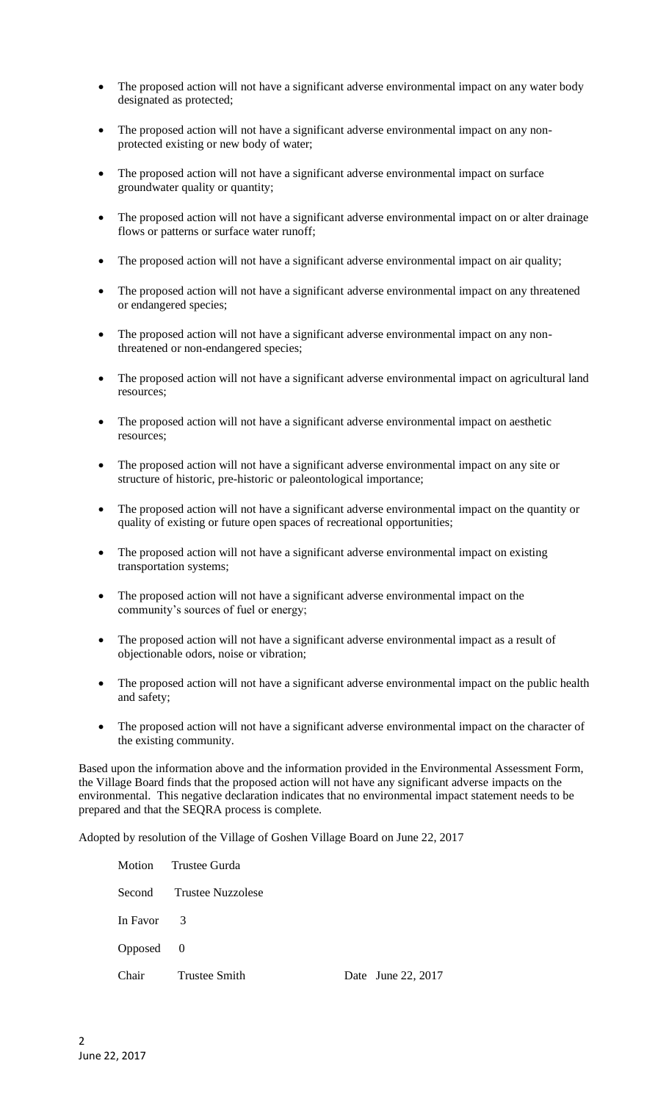- The proposed action will not have a significant adverse environmental impact on any water body designated as protected;
- The proposed action will not have a significant adverse environmental impact on any nonprotected existing or new body of water;
- The proposed action will not have a significant adverse environmental impact on surface groundwater quality or quantity;
- The proposed action will not have a significant adverse environmental impact on or alter drainage flows or patterns or surface water runoff;
- The proposed action will not have a significant adverse environmental impact on air quality;
- The proposed action will not have a significant adverse environmental impact on any threatened or endangered species;
- The proposed action will not have a significant adverse environmental impact on any nonthreatened or non-endangered species;
- The proposed action will not have a significant adverse environmental impact on agricultural land resources;
- The proposed action will not have a significant adverse environmental impact on aesthetic resources;
- The proposed action will not have a significant adverse environmental impact on any site or structure of historic, pre-historic or paleontological importance;
- The proposed action will not have a significant adverse environmental impact on the quantity or quality of existing or future open spaces of recreational opportunities;
- The proposed action will not have a significant adverse environmental impact on existing transportation systems;
- The proposed action will not have a significant adverse environmental impact on the community's sources of fuel or energy;
- The proposed action will not have a significant adverse environmental impact as a result of objectionable odors, noise or vibration;
- The proposed action will not have a significant adverse environmental impact on the public health and safety;
- The proposed action will not have a significant adverse environmental impact on the character of the existing community.

Based upon the information above and the information provided in the Environmental Assessment Form, the Village Board finds that the proposed action will not have any significant adverse impacts on the environmental. This negative declaration indicates that no environmental impact statement needs to be prepared and that the SEQRA process is complete.

Adopted by resolution of the Village of Goshen Village Board on June 22, 2017

| Motion     | Trustee Gurda            |  |                    |
|------------|--------------------------|--|--------------------|
|            | Second Trustee Nuzzolese |  |                    |
| In Favor 3 |                          |  |                    |
| Opposed 0  |                          |  |                    |
| Chair      | <b>Trustee Smith</b>     |  | Date June 22, 2017 |